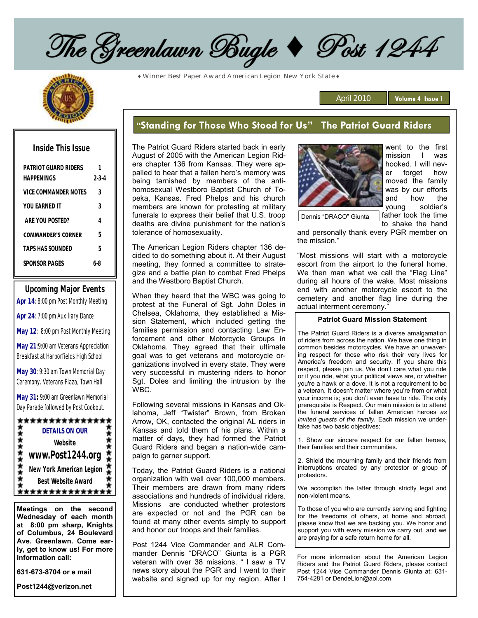The Greenlawn Bugle + Post 1244

**♦** Winner Best Paper Award American Legion New York State **♦**

| Inside This Issue                  |                  |
|------------------------------------|------------------|
| PATRIOT GUARD RIDERS<br>HAPPFNINGS | 1<br>$2 - 3 - 4$ |
| VICE COMMANDER NOTES               | 3                |
| YOU FARNED IT                      | 3                |
| ARE YOU POSTED?                    | 4                |
| <b>COMMANDER'S CORNER</b>          | 5                |
| TAPS HAS SOUNDED                   | 5                |
| SPONSOR PAGES                      | 6.X              |
|                                    |                  |

**Upcoming Major Events Apr 14**: 8:00 pm Post Monthly Meeting **Apr 24**: 7:00 pm Auxiliary Dance

**May 12**: 8:00 pm Post Monthly Meeting

**May 21**:9:00 am Veterans Appreciation Breakfast at Harborfields High School

**May 30**: 9:30 am Town Memorial Day Ceremony. Veterans Plaza, Town Hall

**May 31:** 9:00 am Greenlawn Memorial Day Parade followed by Post Cookout.



**Meetings on the second Wednesday of each month at 8:00 pm sharp, Knights of Columbus, 24 Boulevard Ave. Greenlawn. Come early, get to know us! For more information call:**

**631-673-8704 or e mail**

**Post1244@verizon.net**

# **"Standing for Those Who Stood for Us" The Patriot Guard Riders**

The Patriot Guard Riders started back in early August of 2005 with the American Legion Riders chapter 136 from Kansas. They were appalled to hear that a fallen hero's memory was being tarnished by members of the antihomosexual Westboro Baptist Church of Topeka, Kansas. Fred Phelps and his church members are known for protesting at military funerals to express their belief that U.S. troop deaths are divine punishment for the nation's tolerance of homosexuality.

The American Legion Riders chapter 136 decided to do something about it. At their August meeting, they formed a committee to strategize and a battle plan to combat Fred Phelps and the Westboro Baptist Church.

When they heard that the WBC was going to protest at the Funeral of Sgt. John Doles in Chelsea, Oklahoma, they established a Mission Statement, which included getting the families permission and contacting Law Enforcement and other Motorcycle Groups in Oklahoma. They agreed that their ultimate goal was to get veterans and motorcycle organizations involved in every state. They were very successful in mustering riders to honor Sgt. Doles and limiting the intrusion by the WBC.

Following several missions in Kansas and Oklahoma, Jeff "Twister" Brown, from Broken Arrow, OK, contacted the original AL riders in Kansas and told them of his plans. Within a matter of days, they had formed the Patriot Guard Riders and began a nation-wide campaign to garner support.

Today, the Patriot Guard Riders is a national organization with well over 100,000 members. Their members are drawn from many riders associations and hundreds of individual riders. Missions are conducted whether protestors are expected or not and the PGR can be found at many other events simply to support and honor our troops and their families.

Post 1244 Vice Commander and ALR Commander Dennis "DRACO" Giunta is a PGR veteran with over 38 missions. " I saw a TV news story about the PGR and I went to their website and signed up for my region. After I



April 2010

went to the first mission I was hooked. I will never forget how moved the family was by our efforts and how the young soldier's father took the time

Volume 4 Issue 1

to shake the hand

Dennis "DRACO" Giunta

and personally thank every PGR member on the mission."

"Most missions will start with a motorcycle escort from the airport to the funeral home. We then man what we call the "Flag Line" during all hours of the wake. Most missions end with another motorcycle escort to the cemetery and another flag line during the actual interment ceremony."

#### **Patriot Guard Mission Statement**

The Patriot Guard Riders is a diverse amalgamation of riders from across the nation. We have one thing in common besides motorcycles. We have an unwavering respect for those who risk their very lives for America's freedom and security. If you share this respect, please join us. We don't care what you ride or if you ride, what your political views are, or whether you're a hawk or a dove. It is not a requirement to be a veteran. It doesn't matter where you're from or what your income is; you don't even have to ride. The only prerequisite is Respect. Our main mission is to attend the funeral services of fallen American heroes *as invited guests of the family.* Each mission we undertake has two basic objectives:

1. Show our sincere respect for our fallen heroes, their families and their communities.

2. Shield the mourning family and their friends from interruptions created by any protestor or group of protestors.

We accomplish the latter through strictly legal and non-violent means.

To those of you who are currently serving and fighting for the freedoms of others, at home and abroad, please know that we are backing you. We honor and support you with every mission we carry out, and we are praying for a safe return home for all.

For more information about the American Legion Riders and the Patriot Guard Riders, please contact Post 1244 Vice Commander Dennis Giunta at: 631- 754-4281 or DendeLion@aol.com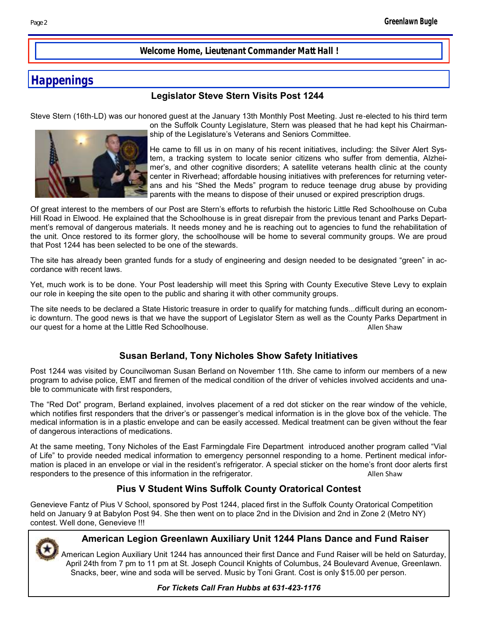**Welcome Home, Lieutenant Commander Matt Hall !**

# **Happenings**

### **Legislator Steve Stern Visits Post 1244**

Steve Stern (16th-LD) was our honored guest at the January 13th Monthly Post Meeting. Just re-elected to his third term



on the Suffolk County Legislature, Stern was pleased that he had kept his Chairmanship of the Legislature's Veterans and Seniors Committee.

He came to fill us in on many of his recent initiatives, including: the Silver Alert System, a tracking system to locate senior citizens who suffer from dementia, Alzheimer's, and other cognitive disorders; A satellite veterans health clinic at the county center in Riverhead; affordable housing initiatives with preferences for returning veterans and his "Shed the Meds" program to reduce teenage drug abuse by providing parents with the means to dispose of their unused or expired prescription drugs.

Of great interest to the members of our Post are Stern's efforts to refurbish the historic Little Red Schoolhouse on Cuba Hill Road in Elwood. He explained that the Schoolhouse is in great disrepair from the previous tenant and Parks Department's removal of dangerous materials. It needs money and he is reaching out to agencies to fund the rehabilitation of the unit. Once restored to its former glory, the schoolhouse will be home to several community groups. We are proud that Post 1244 has been selected to be one of the stewards.

The site has already been granted funds for a study of engineering and design needed to be designated "green" in accordance with recent laws.

Yet, much work is to be done. Your Post leadership will meet this Spring with County Executive Steve Levy to explain our role in keeping the site open to the public and sharing it with other community groups.

The site needs to be declared a State Historic treasure in order to qualify for matching funds...difficult during an economic downturn. The good news is that we have the support of Legislator Stern as well as the County Parks Department in our quest for a home at the Little Red Schoolhouse. Allen Shaw

## **Susan Berland, Tony Nicholes Show Safety Initiatives**

Post 1244 was visited by Councilwoman Susan Berland on November 11th. She came to inform our members of a new program to advise police, EMT and firemen of the medical condition of the driver of vehicles involved accidents and unable to communicate with first responders,

The "Red Dot" program, Berland explained, involves placement of a red dot sticker on the rear window of the vehicle, which notifies first responders that the driver's or passenger's medical information is in the glove box of the vehicle. The medical information is in a plastic envelope and can be easily accessed. Medical treatment can be given without the fear of dangerous interactions of medications.

At the same meeting, Tony Nicholes of the East Farmingdale Fire Department introduced another program called "Vial of Life" to provide needed medical information to emergency personnel responding to a home. Pertinent medical information is placed in an envelope or vial in the resident's refrigerator. A special sticker on the home's front door alerts first responders to the presence of this information in the refrigerator. The state of the Shaw

## **Pius V Student Wins Suffolk County Oratorical Contest**

Genevieve Fantz of Pius V School, sponsored by Post 1244, placed first in the Suffolk County Oratorical Competition held on January 9 at Babylon Post 94. She then went on to place 2nd in the Division and 2nd in Zone 2 (Metro NY) contest. Well done, Genevieve !!!



### **American Legion Greenlawn Auxiliary Unit 1244 Plans Dance and Fund Raiser**

American Legion Auxiliary Unit 1244 has announced their first Dance and Fund Raiser will be held on Saturday, April 24th from 7 pm to 11 pm at St. Joseph Council Knights of Columbus, 24 Boulevard Avenue, Greenlawn. Snacks, beer, wine and soda will be served. Music by Toni Grant. Cost is only \$15.00 per person.

*For Tickets Call Fran Hubbs at 631-423-1176*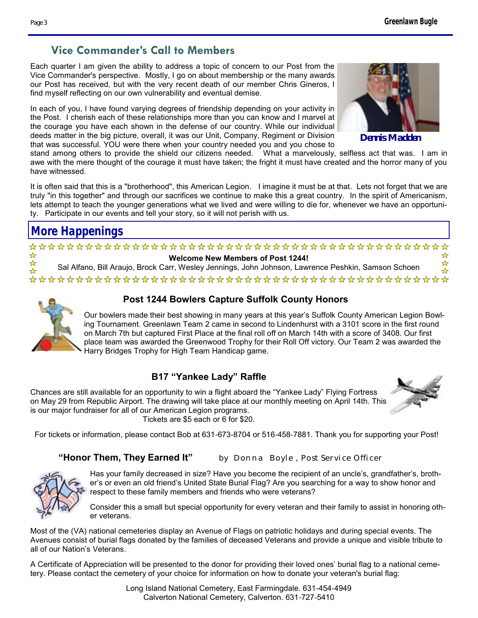# **Vice Commander's Call to Members**

Each quarter I am given the ability to address a topic of concern to our Post from the Vice Commander's perspective. Mostly, I go on about membership or the many awards our Post has received, but with the very recent death of our member Chris Gineros, I find myself reflecting on our own vulnerability and eventual demise.

In each of you, I have found varying degrees of friendship depending on your activity in the Post. I cherish each of these relationships more than you can know and I marvel at the courage you have each shown in the defense of our country. While our individual deeds matter in the big picture, overall, it was our Unit, Company, Regiment or Division that was successful. YOU were there when your country needed you and you chose to



**Dennis Madden** 

stand among others to provide the shield our citizens needed. What a marvelously, selfless act that was. I am in awe with the mere thought of the courage it must have taken; the fright it must have created and the horror many of you have witnessed.

It is often said that this is a "brotherhood", this American Legion. I imagine it must be at that. Lets not forget that we are truly "in this together" and through our sacrifices we continue to make this a great country. In the spirit of Americanism, lets attempt to teach the younger generations what we lived and were willing to die for, whenever we have an opportunity. Participate in our events and tell your story, so it will not perish with us.

# **More Happenings**

#### **Welcome New Members of Post 1244!**

Sal Alfano, Bill Araujo, Brock Carr, Wesley Jennings, John Johnson, Lawrence Peshkin, Samson Schoen



☆ ☆

D

## **Post 1244 Bowlers Capture Suffolk County Honors**

Our bowlers made their best showing in many years at this year's Suffolk County American Legion Bowling Tournament. Greenlawn Team 2 came in second to Lindenhurst with a 3101 score in the first round on March 7th but captured First Place at the final roll off on March 14th with a score of 3408. Our first place team was awarded the Greenwood Trophy for their Roll Off victory. Our Team 2 was awarded the Harry Bridges Trophy for High Team Handicap game.

# **B17 "Yankee Lady" Raffle**

Chances are still available for an opportunity to win a flight aboard the "Yankee Lady" Flying Fortress on May 29 from Republic Airport. The drawing will take place at our monthly meeting on April 14th. This is our major fundraiser for all of our American Legion programs. Tickets are \$5 each or 6 for \$20.

☆  $\star$ 

For tickets or information, please contact Bob at 631-673-8704 or 516-458-7881. Thank you for supporting your Post!

### **"Honor Them, They Earned It"** *by Donna Boyle , Post Service Officer*



Has your family decreased in size? Have you become the recipient of an uncle's, grandfather's, brother's or even an old friend's United State Burial Flag? Are you searching for a way to show honor and respect to these family members and friends who were veterans?

Consider this a small but special opportunity for every veteran and their family to assist in honoring other veterans.

Most of the (VA) national cemeteries display an Avenue of Flags on patriotic holidays and during special events. The Avenues consist of burial flags donated by the families of deceased Veterans and provide a unique and visible tribute to all of our Nation's Veterans.

A Certificate of Appreciation will be presented to the donor for providing their loved ones' burial flag to a national cemetery. Please contact the [cemetery o](http://www.cem.va.gov/cem/cems/listcem.asp)f your choice for information on how to donate your veteran's burial flag:

**Page 3**

Long Island National Cemetery, East Farmingdale. 631-454-4949 Calverton National Cemetery, Calverton. 631-727-5410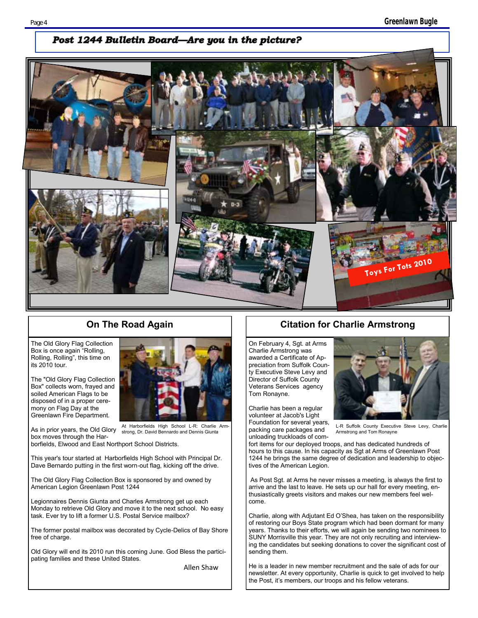#### Post 1244 Bulletin Board—Are you in the picture?



The Old Glory Flag Collection Box is once again "Rolling, Rolling, Rolling", this time on its 2010 tour.

The "Old Glory Flag Collection Box" collects worn, frayed and soiled American Flags to be disposed of in a proper ceremony on Flag Day at the Greenlawn Fire Department.

As in prior years, the Old Glory At Harborfields High School L-R: Charlie Armstrong, Dr. David Bennardo and Dennis Giunta

box moves through the Harborfields, Elwood and East Northport School Districts.

This year's tour started at Harborfields High School with Principal Dr. Dave Bernardo putting in the first worn-out flag, kicking off the drive.

The Old Glory Flag Collection Box is sponsored by and owned by American Legion Greenlawn Post 1244

Legionnaires Dennis Giunta and Charles Armstrong get up each Monday to retrieve Old Glory and move it to the next school. No easy task. Ever try to lift a former U.S. Postal Service mailbox?

The former postal mailbox was decorated by Cycle-Delics of Bay Shore free of charge.

Old Glory will end its 2010 run this coming June. God Bless the participating families and these United States.

Allen Shaw

### **On The Road Again Citation for Charlie Armstrong**

On February 4, Sgt. at Arms Charlie Armstrong was awarded a Certificate of Appreciation from Suffolk County Executive Steve Levy and Director of Suffolk County Veterans Services agency Tom Ronayne.

Charlie has been a regular volunteer at Jacob's Light Foundation for several years, packing care packages and unloading truckloads of com-



L-R Suffolk County Executive Steve Levy, Charlie Armstrong and Tom Ronayne

fort items for our deployed troops, and has dedicated hundreds of hours to this cause. In his capacity as Sgt at Arms of Greenlawn Post 1244 he brings the same degree of dedication and leadership to objectives of the American Legion.

As Post Sgt. at Arms he never misses a meeting, is always the first to arrive and the last to leave. He sets up our hall for every meeting, enthusiastically greets visitors and makes our new members feel welcome.

Charlie, along with Adjutant Ed O'Shea, has taken on the responsibility of restoring our Boys State program which had been dormant for many years. Thanks to their efforts, we will again be sending two nominees to SUNY Morrisville this year. They are not only recruiting and interviewing the candidates but seeking donations to cover the significant cost of sending them.

He is a leader in new member recruitment and the sale of ads for our newsletter. At every opportunity, Charlie is quick to get involved to help the Post, it's members, our troops and his fellow veterans.